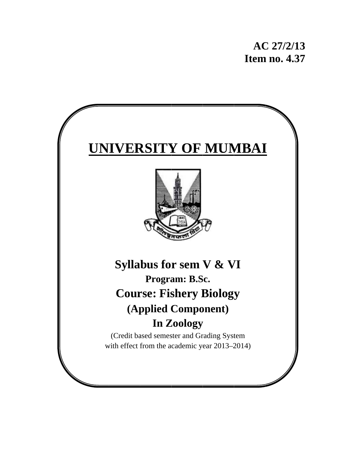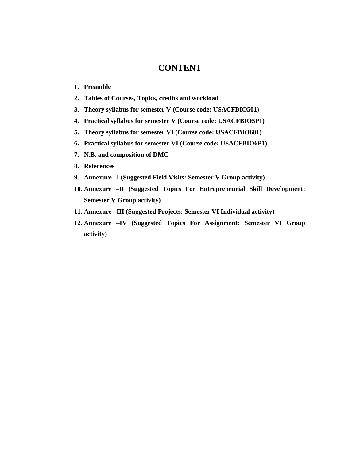# **CONTENT**

- **1. Preamble**
- **2. Tables of Courses, Topics, credits and workload**
- **3. Theory syllabus for semester V (Course code: USACFBIO501)**
- **4. Practical syllabus for semester V (Course code: USACFBIO5P1)**
- **5. Theory syllabus for semester VI (Course code: USACFBIO601)**
- **6. Practical syllabus for semester VI (Course code: USACFBIO6P1)**
- **7. N.B. and composition of DMC**
- **8. References**
- **9. Annexure –I (Suggested Field Visits: Semester V Group activity)**
- **10. Annexure –II (Suggested Topics For Entrepreneurial Skill Development: Semester V Group activity)**
- **11. Annexure –III (Suggested Projects: Semester VI Individual activity)**
- **12. Annexure –IV (Suggested Topics For Assignment: Semester VI Group activity)**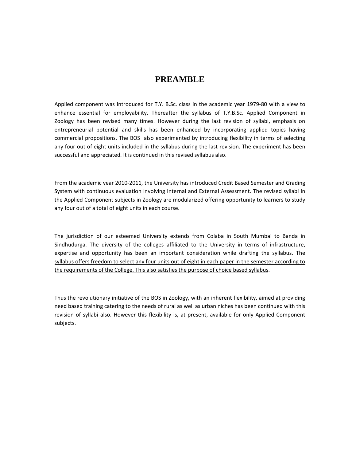# **PREAMBLE**

Applied component was introduced for T.Y. B.Sc. class in the academic year 1979‐80 with a view to enhance essential for employability. Thereafter the syllabus of T.Y.B.Sc. Applied Component in Zoology has been revised many times. However during the last revision of syllabi, emphasis on entrepreneurial potential and skills has been enhanced by incorporating applied topics having commercial propositions. The BOS also experimented by introducing flexibility in terms of selecting any four out of eight units included in the syllabus during the last revision. The experiment has been successful and appreciated. It is continued in this revised syllabus also.

From the academic year 2010‐2011, the University has introduced Credit Based Semester and Grading System with continuous evaluation involving Internal and External Assessment. The revised syllabi in the Applied Component subjects in Zoology are modularized offering opportunity to learners to study any four out of a total of eight units in each course.

The jurisdiction of our esteemed University extends from Colaba in South Mumbai to Banda in Sindhudurga. The diversity of the colleges affiliated to the University in terms of infrastructure, expertise and opportunity has been an important consideration while drafting the syllabus. The syllabus offers freedom to select any four units out of eight in each paper in the semester according to the requirements of the College. This also satisfies the purpose of choice based syllabus.

Thus the revolutionary initiative of the BOS in Zoology, with an inherent flexibility, aimed at providing need based training catering to the needs of rural as well as urban niches has been continued with this revision of syllabi also. However this flexibility is, at present, available for only Applied Component subjects.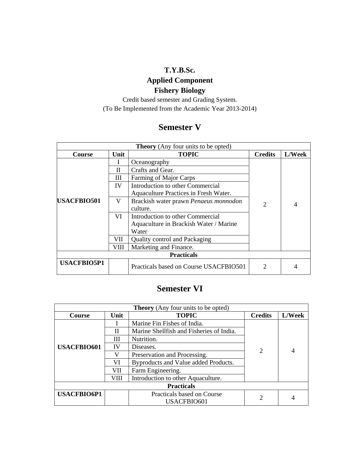# **T.Y.B.Sc.**

# **Applied Component Fishery Biology**

Credit based semester and Grading System. (To Be Implemented from the Academic Year 2013-2014)

# **Semester V**

| <b>Theory</b> (Any four units to be opted) |      |                                        |                             |        |  |
|--------------------------------------------|------|----------------------------------------|-----------------------------|--------|--|
| Course                                     | Unit | <b>TOPIC</b>                           | <b>Credits</b>              | L/Week |  |
|                                            |      | Oceanography                           | $\mathcal{D}_{\mathcal{L}}$ | 4      |  |
| <b>USACFBIO501</b>                         | Н    | Crafts and Gear.                       |                             |        |  |
|                                            | Ш    | Farming of Major Carps                 |                             |        |  |
|                                            | IV   | Introduction to other Commercial       |                             |        |  |
|                                            |      | Aquaculture Practices in Fresh Water.  |                             |        |  |
|                                            | V    | Brackish water prawn Penaeus monnodon  |                             |        |  |
|                                            |      | culture.                               |                             |        |  |
|                                            | VI   | Introduction to other Commercial       |                             |        |  |
|                                            |      | Aquaculture in Brackish Water / Marine |                             |        |  |
|                                            |      | Water                                  |                             |        |  |
|                                            | VII  | <b>Quality control and Packaging</b>   |                             |        |  |
|                                            | VIII | Marketing and Finance.                 |                             |        |  |
| <b>Practicals</b>                          |      |                                        |                             |        |  |
| <b>USACFBIO5P1</b>                         |      | Practicals based on Course USACFBIO501 | າ                           |        |  |

# **Semester VI**

| <b>Theory</b> (Any four units to be opted) |      |                                          |                |        |  |
|--------------------------------------------|------|------------------------------------------|----------------|--------|--|
| Course                                     | Unit | <b>TOPIC</b>                             | <b>Credits</b> | L/Week |  |
|                                            |      | Marine Fin Fishes of India.              |                |        |  |
| <b>USACFBIO601</b>                         | Н    | Marine Shellfish and Fisheries of India. | 2              |        |  |
|                                            | Ш    | Nutrition.                               |                |        |  |
|                                            | IV   | Diseases.                                |                |        |  |
|                                            | V    | Preservation and Processing.             |                |        |  |
|                                            | VI   | Byproducts and Value added Products.     |                |        |  |
|                                            | VП   | Farm Engineering.                        |                |        |  |
|                                            | VIII | Introduction to other Aquaculture.       |                |        |  |
| <b>Practicals</b>                          |      |                                          |                |        |  |
| <b>USACFBIO6P1</b>                         |      | Practicals based on Course               |                |        |  |
|                                            |      | USACFBIO601                              |                |        |  |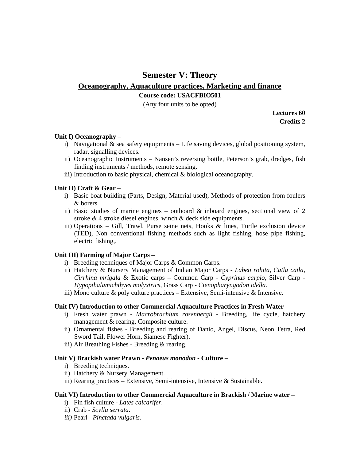# **Semester V: Theory**

# **Oceanography, Aquaculture practices, Marketing and finance**

# **Course code: USACFBIO501**

(Any four units to be opted)

**Lectures 60 Credits 2** 

### **Unit I) Oceanography –**

- i) Navigational & sea safety equipments Life saving devices, global positioning system, radar, signalling devices.
- ii) Oceanographic Instruments Nansen's reversing bottle, Peterson's grab, dredges, fish finding instruments / methods, remote sensing.
- iii) Introduction to basic physical, chemical & biological oceanography.

### **Unit II) Craft & Gear –**

- i) Basic boat building (Parts, Design, Material used), Methods of protection from foulers & borers.
- ii) Basic studies of marine engines outboard  $\&$  inboard engines, sectional view of 2 stroke & 4 stroke diesel engines, winch & deck side equipments.
- iii) Operations Gill, Trawl, Purse seine nets, Hooks  $\&$  lines, Turtle exclusion device (TED), Non conventional fishing methods such as light fishing, hose pipe fishing, electric fishing,.

### **Unit III) Farming of Major Carps –**

- i) Breeding techniques of Major Carps & Common Carps.
- ii) Hatchery & Nursery Management of Indian Major Carps *Labeo rohita, Catla catla, Cirrhina mrigala* & Exotic carps – Common Carp - *Cyprinus carpio,* Silver Carp - *Hypopthalamichthyes molyxtrics,* Grass Carp - *Ctenopharyngodon idella.*
- iii) Mono culture  $\&$  poly culture practices Extensive, Semi-intensive  $\&$  Intensive.

### **Unit IV) Introduction to other Commercial Aquaculture Practices in Fresh Water –**

- i) Fresh water prawn *Macrobrachium rosenbergii* Breeding, life cycle, hatchery management & rearing, Composite culture.
- ii) Ornamental fishes Breeding and rearing of Danio, Angel, Discus, Neon Tetra, Red Sword Tail, Flower Horn, Siamese Fighter).
- iii) Air Breathing Fishes Breeding & rearing.

# **Unit V) Brackish water Prawn -** *Penaeus monodon -* **Culture –**

- i) Breeding techniques.
- ii) Hatchery & Nursery Management.
- iii) Rearing practices Extensive, Semi-intensive, Intensive  $\&$  Sustainable.

#### **Unit VI) Introduction to other Commercial Aquaculture in Brackish / Marine water –**

- i) Fin fish culture *Lates calcarifer*.
- ii) Crab *Scylla serrata*.
- *iii)* Pearl *Pinctada vulgaris.*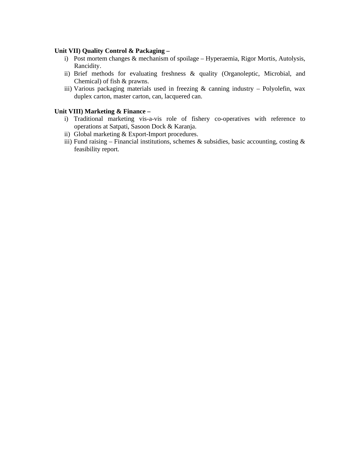### **Unit VII) Quality Control & Packaging –**

- i) Post mortem changes & mechanism of spoilage Hyperaemia, Rigor Mortis, Autolysis, Rancidity.
- ii) Brief methods for evaluating freshness & quality (Organoleptic, Microbial, and Chemical) of fish & prawns.
- iii) Various packaging materials used in freezing  $\&$  canning industry Polyolefin, wax duplex carton, master carton, can, lacquered can.

### **Unit VIII) Marketing & Finance –**

- i) Traditional marketing vis-a-vis role of fishery co-operatives with reference to operations at Satpati, Sasoon Dock & Karanja.
- ii) Global marketing & Export-Import procedures.
- iii) Fund raising Financial institutions, schemes & subsidies, basic accounting, costing  $\&$ feasibility report.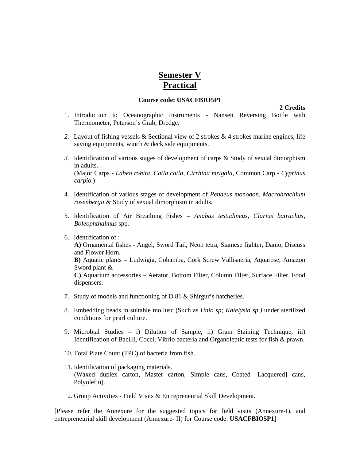# **Semester V Practical**

#### **Course code: USACFBIO5P1**

 **2 Credits** 

- 1. Introduction to Oceanographic Instruments Nansen Reversing Bottle with Thermometer, Peterson's Grab, Dredge.
- 2. Layout of fishing vessels & Sectional view of 2 strokes & 4 strokes marine engines, life saving equipments, winch & deck side equipments.
- *3.* Identification of various stages of development of carps & Study of sexual dimorphism in adults. (Major Carps - *Labeo rohita, Catla catla, Cirrhina mrigala,* Common Carp *- Cyprinus carpio.*)
- 4. Identification of various stages of development of *Penaeus monodon, Macrobrachium rosenbergii* & Study of sexual dimorphism in adults*.*
- 5. Identification of Air Breathing Fishes *Anabas testudineus, Clarius batrachus, Boleophthalmus* spp*.*
- 6. Identification of :

**A)** Ornamental fishes - Angel, Sword Tail, Neon tetra, Siamese fighter, Danio, Discuss and Flower Horn.

**B)** Aquatic plants – Ludwigia, Cobamba, Cork Screw Vallisneria, Aquarose, Amazon Sword plant &

**C)** Aquarium accessories – Aerator, Bottom Filter, Column Filter, Surface Filter, Food dispensers.

- 7. Study of models and functioning of D 81 & Shirgur's hatcheries.
- 8. Embedding beads in suitable mollusc (Such as *Unio sp; Katelysia sp.)* under sterilized conditions for pearl culture.
- 9. Microbial Studies i) Dilution of Sample, ii) Gram Staining Technique, iii) Identification of Bacilli, Cocci, Vibrio bacteria and Organoleptic tests for fish & prawn.
- 10. Total Plate Count (TPC) of bacteria from fish.
- 11. Identification of packaging materials. (Waxed duplex carton, Master carton, Simple cans, Coated [Lacquered] cans, Polyolefin).
- 12. Group Activities Field Visits & Entrepreneurial Skill Development.

[Please refer the Annexure for the suggested topics for field visits (Annexure-I), and entrepreneurial skill development (Annexure- II) for Course code: **USACFBIO5P1**]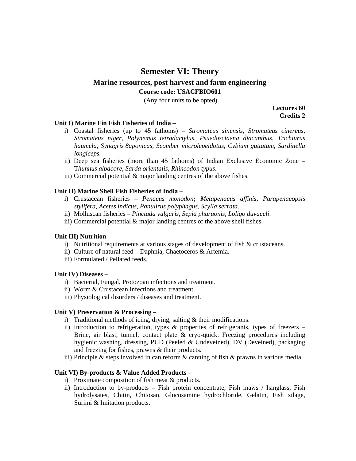# **Semester VI: Theory**

# **Marine resources, post harvest and farm engineering**

### **Course code: USACFBIO601**

(Any four units to be opted)

**Lectures 60 Credits 2** 

### **Unit I) Marine Fin Fish Fisheries of India –**

- i) Coastal fisheries (up to 45 fathoms) *Stromateus sinensis, Stromateus cinereus, Stromateus niger, Polynemus tetradactylus, Psuedosciaena diacanthus, Trichiurus haumela, Synagris 8aponicas, Scomber microlepeidotus, Cybium guttatum, Sardinella longiceps.*
- ii) Deep sea fisheries (more than 45 fathoms) of Indian Exclusive Economic Zone T*hunnus albacore*, *Sarda orientalis, Rhincodon typus*.
- iii) Commercial potential & major landing centres of the above fishes.

### **Unit II) Marine Shell Fish Fisheries of India –**

- i) Crustacean fisheries *Penaeus monodon***;** *Metapenaeus affinis, Parapenaeopsis stylifera, Acetes indicus, Panulirus polyphagus, Scylla serrata.*
- ii) Molluscan fisheries *Pinctada vulgaris*, *Sepia pharaonis, Loligo duvaceli*.
- iii) Commercial potential & major landing centres of the above shell fishes.

### **Unit III) Nutrition –**

- i) Nutritional requirements at various stages of development of fish  $\&$  crustaceans.
- ii) Culture of natural feed Daphnia, Chaetoceros & Artemia.
- iii) Formulated / Pellated feeds.

# **Unit IV) Diseases –**

- i) Bacterial, Fungal, Protozoan infections and treatment.
- ii) Worm & Crustacean infections and treatment.
- iii) Physiological disorders / diseases and treatment.

### **Unit V) Preservation & Processing –**

- i) Traditional methods of icing, drying, salting & their modifications.
- ii) Introduction to refrigeration, types  $\&$  properties of refrigerants, types of freezers Brine, air blast, tunnel, contact plate & cryo-quick. Freezing procedures including hygienic washing, dressing, PUD (Peeled & Undeveined), DV (Deveined), packaging and freezing for fishes, prawns & their products.
- iii) Principle & steps involved in can reform  $\&$  canning of fish  $\&$  prawns in various media.

# **Unit VI) By-products & Value Added Products –**

- i) Proximate composition of fish meat & products.
- ii) Introduction to by-products Fish protein concentrate, Fish maws / Isinglass, Fish hydrolysates, Chitin, Chitosan, Glucosamine hydrochloride, Gelatin, Fish silage, Surimi & Imitation products.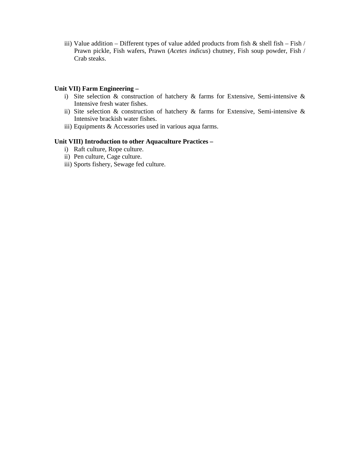iii) Value addition – Different types of value added products from fish  $\&$  shell fish – Fish / Prawn pickle, Fish wafers, Prawn (*Acetes indicus*) chutney, Fish soup powder, Fish / Crab steaks.

### **Unit VII) Farm Engineering –**

- i) Site selection & construction of hatchery & farms for Extensive, Semi-intensive & Intensive fresh water fishes.
- ii) Site selection & construction of hatchery & farms for Extensive, Semi-intensive & Intensive brackish water fishes.
- iii) Equipments & Accessories used in various aqua farms.

### **Unit VIII) Introduction to other Aquaculture Practices –**

- i) Raft culture, Rope culture.
- ii) Pen culture, Cage culture.
- iii) Sports fishery, Sewage fed culture.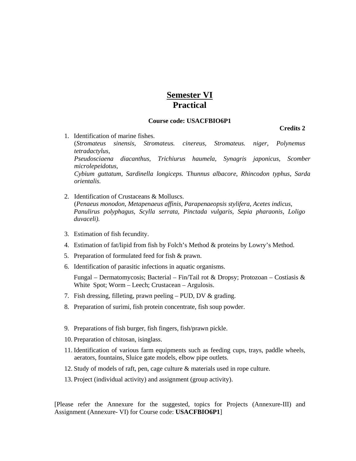# **Semester VI Practical**

#### **Course code: USACFBIO6P1**

**Credits 2** 

- 1. Identification of marine fishes. (*Stromateus sinensis, Stromateus. cinereus, Stromateus. niger, Polynemus tetradactylus, Pseudosciaena diacanthus, Trichiurus haumela, Synagris japonicus, Scomber microlepeidotus, Cybium guttatum, Sardinella longiceps.* T*hunnus albacore*, *Rhincodon typhus, Sarda orientalis.*
- 2. Identification of Crustaceans & Molluscs. (*Penaeus monodon, Metapenaeus affinis, Parapenaeopsis stylifera, Acetes indicus, Panulirus polyphagus, Scylla serrata, Pinctada vulgaris, Sepia pharaonis, Loligo duvaceli).*
- 3. Estimation of fish fecundity.
- 4. Estimation of fat/lipid from fish by Folch's Method & proteins by Lowry's Method.
- 5. Preparation of formulated feed for fish & prawn.
- 6. Identification of parasitic infections in aquatic organisms.

Fungal – Dermatomycosis; Bacterial – Fin/Tail rot & Dropsy; Protozoan – Costiasis & White Spot; Worm – Leech; Crustacean – Argulosis.

- 7. Fish dressing, filleting, prawn peeling PUD, DV & grading.
- 8. Preparation of surimi, fish protein concentrate, fish soup powder.
- 9. Preparations of fish burger, fish fingers, fish/prawn pickle.
- 10. Preparation of chitosan, isinglass.
- 11. Identification of various farm equipments such as feeding cups, trays, paddle wheels, aerators, fountains, Sluice gate models, elbow pipe outlets.
- 12. Study of models of raft, pen, cage culture & materials used in rope culture.
- 13. Project (individual activity) and assignment (group activity).

[Please refer the Annexure for the suggested, topics for Projects (Annexure-III) and Assignment (Annexure- VI) for Course code: **USACFBIO6P1**]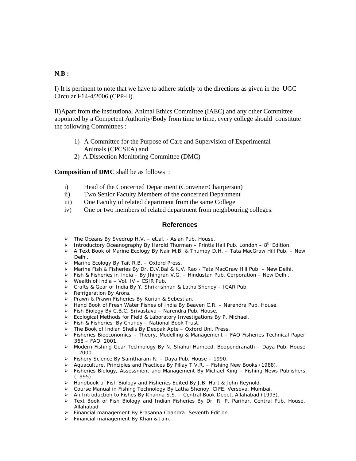### **N.B :**

I) It is pertinent to note that we have to adhere strictly to the directions as given in the UGC Circular F14-4/2006 (CPP-II).

II)Apart from the institutional Animal Ethics Committee (IAEC) and any other Committee appointed by a Competent Authority/Body from time to time, every college should constitute the following Committees :

- 1) A Committee for the Purpose of Care and Supervision of Experimental Animals (CPCSEA) and
- 2) A Dissection Monitoring Committee (DMC)

**Composition of DMC** shall be as follows :

- i) Head of the Concerned Department (Convener/Chairperson)
- ii) Two Senior Faculty Members of the concerned Department
- iii) One Faculty of related department from the same College
- iv) One or two members of related department from neighbouring colleges.

#### **References**

- ¾ The Oceans By Svedrup H.V. et.al. Asian Pub. House.
- Introductory Oceanography By Harold Thurman Printis Hall Pub. London  $8^{th}$  Edition.
- ¾ A Text Book of Marine Ecology By Nair M.B. & Thumpy D.H. Tata MacGraw Hill Pub. New Delhi.
- ¾ Marine Ecology By Tait R.B. Oxford Press.
- ¾ Marine Fish & Fisheries By Dr. D.V.Bal & K.V. Rao Tata MacGraw Hill Pub. New Delhi.
- ¾ Fish & Fisheries in India By Jhingran V.G. Hindustan Pub. Corporation New Delhi.
- $\triangleright$  Wealth of India Vol. IV CSIR Pub.
- ¾ Crafts & Gear of India By Y. Shrikrishnan & Latha Shenoy ICAR Pub.
- ¾ Refrigeration By Arora.
- ¾ Prawn & Prawn Fisheries By Kurian & Sebestian.
- ¾ Hand Book of Fresh Water Fishes of India By Beaven C.R. Narendra Pub. House.
- ¾ Fish Biology By C.B.C. Srivastava Narendra Pub. House.
- ¾ Ecological Methods for Field & Laboratory Investigations By P. Michael.
- ¾ Fish & Fisheries By Chandy National Book Trust.
- ¾ The Book of Indian Shells By Deepak Apte Oxford Uni. Press.
- $\triangleright$  Fisheries Bioeconomics Theory, Modelling & Management FAO Fisheries Technical Paper 368 – FAO, 2001.
- ¾ Modern Fishing Gear Technology By N. Shahul Hameed, Boopendranath Daya Pub. House  $-2000.$
- ¾ Fishery Science By Samtharam R. Daya Pub. House 1990.
- ¾ Aquaculture, Principles and Practices By Pillay T.V.R. Fishing New Books (1988).
- ¾ Fisheries Biology, Assessment and Management By Michael King Fishing News Publishers  $(1995)$
- ¾ Handbook of Fish Biology and Fisheries Edited By J.B. Hart & John Reynold.
- ¾ Course Manual in Fishing Technology By Latha Shenoy, CIFE, Versova, Mumbai.
- ¾ An Introduction to Fishes By Khanna S.S. Central Book Depot, Allahabad (1993).
- ¾ Text Book of Fish Biology and Indian Fisheries By Dr. R. P. Parihar, Central Pub. House, Allahabad.
- ¾ Financial management By Prasanna Chandra- Seventh Edition.
- ¾ Financial management By Khan & Jain.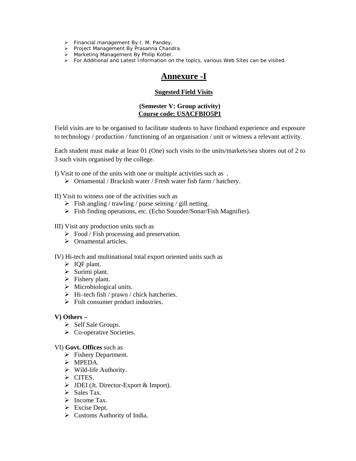- ¾ Financial management By I. M. Pandey.
- ¾ Project Management By Prasanna Chandra.
- ¾ Marketing Management By Philip Kotler.
- $\triangleright$  For Additional and Latest Information on the topics, various Web Sites can be visited.

# **Annexure -I**

### **Sugested Field Visits**

### **(Semester V: Group activity) Course code: USACFBIO5P1**

Field visits are to be organised to facilitate students to have firsthand experience and exposure to technology / production / functioning of an organisation / unit or witness a relevant activity.

Each student must make at least 01 (One) such visits to the units/markets/sea shores out of 2 to 3 such visits organised by the college.

I) Visit to one of the units with one or multiple activities such as .

 $\triangleright$  Ornamental / Brackish water / Fresh water fish farm / hatchery.

II) Visit to witness one of the activities such as

- $\triangleright$  Fish angling / trawling / purse seining / gill netting.
- ¾ Fish finding operations, etc. (Echo Sounder/Sonar/Fish Magnifier).

#### III) Visit any production units such as

- $\triangleright$  Food / Fish processing and preservation.
- $\triangleright$  Ornamental articles.

IV) Hi-tech and multinational total export oriented units such as

- $\triangleright$  IQF plant.
- $\triangleright$  Surimi plant.
- $\triangleright$  Fishery plant.
- $\triangleright$  Microbiological units.
- $\triangleright$  Hi–tech fish / prawn / chick hatcheries.
- $\triangleright$  Fish consumer product industries.

#### **V) Others –**

- $\triangleright$  Self Sale Groups.
- $\triangleright$  Co-operative Societies.

### VI) **Govt. Offices** such as

- $\triangleright$  Fishery Department.
- ¾ MPEDA.
- $\triangleright$  Wild-life Authority.
- ¾ CITES.
- $\triangleright$  JDEI (Jt. Director-Export & Import).
- $\triangleright$  Sales Tax.
- ¾ Income Tax.
- $\triangleright$  Excise Dept.
- $\triangleright$  Customs Authority of India.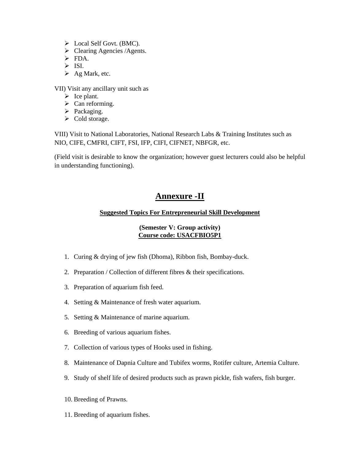- $\triangleright$  Local Self Govt. (BMC).
- $\triangleright$  Clearing Agencies /Agents.
- $\triangleright$  FDA.
- $\triangleright$  ISI.
- $\triangleright$  Ag Mark, etc.

VII) Visit any ancillary unit such as

- $\triangleright$  Ice plant.
- $\triangleright$  Can reforming.
- $\triangleright$  Packaging.
- $\triangleright$  Cold storage.

VIII) Visit to National Laboratories, National Research Labs & Training Institutes such as NIO, CIFE, CMFRI, CIFT, FSI, IFP, CIFI, CIFNET, NBFGR, etc.

(Field visit is desirable to know the organization; however guest lecturers could also be helpful in understanding functioning).

# **Annexure -II**

# **Suggested Topics For Entrepreneurial Skill Development**

# **(Semester V: Group activity) Course code: USACFBIO5P1**

- 1. Curing & drying of jew fish (Dhoma), Ribbon fish, Bombay-duck.
- 2. Preparation / Collection of different fibres & their specifications.
- 3. Preparation of aquarium fish feed.
- 4. Setting & Maintenance of fresh water aquarium.
- 5. Setting & Maintenance of marine aquarium.
- 6. Breeding of various aquarium fishes.
- 7. Collection of various types of Hooks used in fishing.
- 8. Maintenance of Dapnia Culture and Tubifex worms, Rotifer culture, Artemia Culture.
- 9. Study of shelf life of desired products such as prawn pickle, fish wafers, fish burger.
- 10. Breeding of Prawns.
- 11. Breeding of aquarium fishes.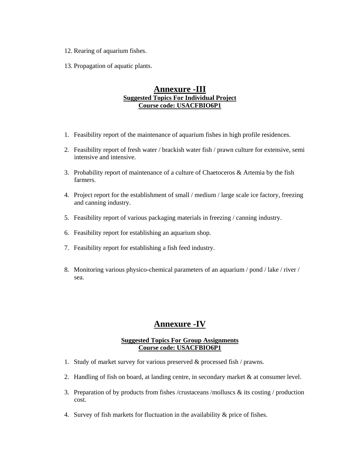- 12. Rearing of aquarium fishes.
- 13. Propagation of aquatic plants.

# **Annexure -III Suggested Topics For Individual Project Course code: USACFBIO6P1**

- 1. Feasibility report of the maintenance of aquarium fishes in high profile residences.
- 2. Feasibility report of fresh water / brackish water fish / prawn culture for extensive, semi intensive and intensive.
- 3. Probability report of maintenance of a culture of Chaetoceros & Artemia by the fish farmers.
- 4. Project report for the establishment of small / medium / large scale ice factory, freezing and canning industry.
- 5. Feasibility report of various packaging materials in freezing / canning industry.
- 6. Feasibility report for establishing an aquarium shop.
- 7. Feasibility report for establishing a fish feed industry.
- 8. Monitoring various physico-chemical parameters of an aquarium / pond / lake / river / sea.

# **Annexure -IV**

# **Suggested Topics For Group Assignments Course code: USACFBIO6P1**

- 1. Study of market survey for various preserved & processed fish / prawns.
- 2. Handling of fish on board, at landing centre, in secondary market & at consumer level.
- 3. Preparation of by products from fishes /crustaceans /molluscs  $\&$  its costing / production cost.
- 4. Survey of fish markets for fluctuation in the availability & price of fishes.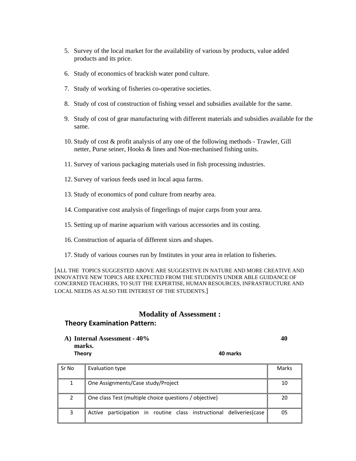- 5. Survey of the local market for the availability of various by products, value added products and its price.
- 6. Study of economics of brackish water pond culture.
- 7. Study of working of fisheries co-operative societies.
- 8. Study of cost of construction of fishing vessel and subsidies available for the same.
- 9. Study of cost of gear manufacturing with different materials and subsidies available for the same.
- 10. Study of cost & profit analysis of any one of the following methods Trawler, Gill netter, Purse seiner, Hooks & lines and Non-mechanised fishing units.
- 11. Survey of various packaging materials used in fish processing industries.
- 12. Survey of various feeds used in local aqua farms.
- 13. Study of economics of pond culture from nearby area.
- 14. Comparative cost analysis of fingerlings of major carps from your area.
- 15. Setting up of marine aquarium with various accessories and its costing.
- 16. Construction of aquaria of different sizes and shapes.
- 17. Study of various courses run by Institutes in your area in relation to fisheries.

[ALL THE TOPICS SUGGESTED ABOVE ARE SUGGESTIVE IN NATURE AND MORE CREATIVE AND INNOVATIVE NEW TOPICS ARE EXPECTED FROM THE STUDENTS UNDER ABLE GUIDANCE OF CONCERNED TEACHERS, TO SUIT THE EXPERTISE, HUMAN RESOURCES, INFRASTRUCTURE AND LOCAL NEEDS AS ALSO THE INTEREST OF THE STUDENTS.]

# **Modality of Assessment :**

# **Theory Examination Pattern:**

**A) Internal Assessment - 40% 40 marks. Theory 40 marks**

| Sr No | Evaluation type                                                      | Marks |
|-------|----------------------------------------------------------------------|-------|
| 1     | One Assignments/Case study/Project                                   | 10    |
|       | One class Test (multiple choice questions / objective)               | 20    |
| 3     | Active participation in routine class instructional deliveries (case | 05    |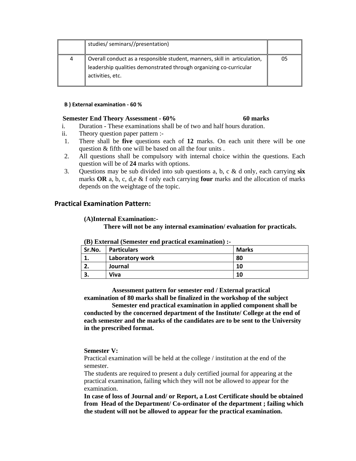| studies/ seminars//presentation)                                                                                                                                    |    |
|---------------------------------------------------------------------------------------------------------------------------------------------------------------------|----|
| Overall conduct as a responsible student, manners, skill in articulation,<br>leadership qualities demonstrated through organizing co-curricular<br>activities, etc. | 05 |
|                                                                                                                                                                     |    |

#### **B ) External examination ‐ 60 %**

#### **Semester End Theory Assessment - 60% 60 marks**

- i. Duration These examinations shall be of two and half hours duration.
- ii. Theory question paper pattern :-
- 1. There shall be **five** questions each of **12** marks. On each unit there will be one question & fifth one will be based on all the four units .
- 2. All questions shall be compulsory with internal choice within the questions. Each question will be of **24** marks with options.
- 3. Questions may be sub divided into sub questions a, b, c & d only, each carrying **six** marks **OR** a, b, c, d,e & f only each carrying **four** marks and the allocation of marks depends on the weightage of the topic.

### **Practical Examination Pattern:**

### **(A)Internal Examination:-**

**There will not be any internal examination/ evaluation for practicals.** 

| Sr.No.      | р) Елипан (әсінезиі ени рғасисан еланнің іші ә<br>  Particulars | <b>Marks</b> |
|-------------|-----------------------------------------------------------------|--------------|
| ∸           | Laboratory work                                                 | 80           |
| <u>. . </u> | Journal                                                         | 10           |
| J.          | Viva                                                            | 10           |

**(B) External (Semester end practical examination) :-** 

 **Assessment pattern for semester end / External practical examination of 80 marks shall be finalized in the workshop of the subject** 

 **Semester end practical examination in applied component shall be conducted by the concerned department of the Institute/ College at the end of each semester and the marks of the candidates are to be sent to the University in the prescribed format.** 

### **Semester V:**

Practical examination will be held at the college / institution at the end of the semester.

The students are required to present a duly certified journal for appearing at the practical examination, failing which they will not be allowed to appear for the examination.

**In case of loss of Journal and/ or Report, a Lost Certificate should be obtained from Head of the Department/ Co-ordinator of the department ; failing which the student will not be allowed to appear for the practical examination.**